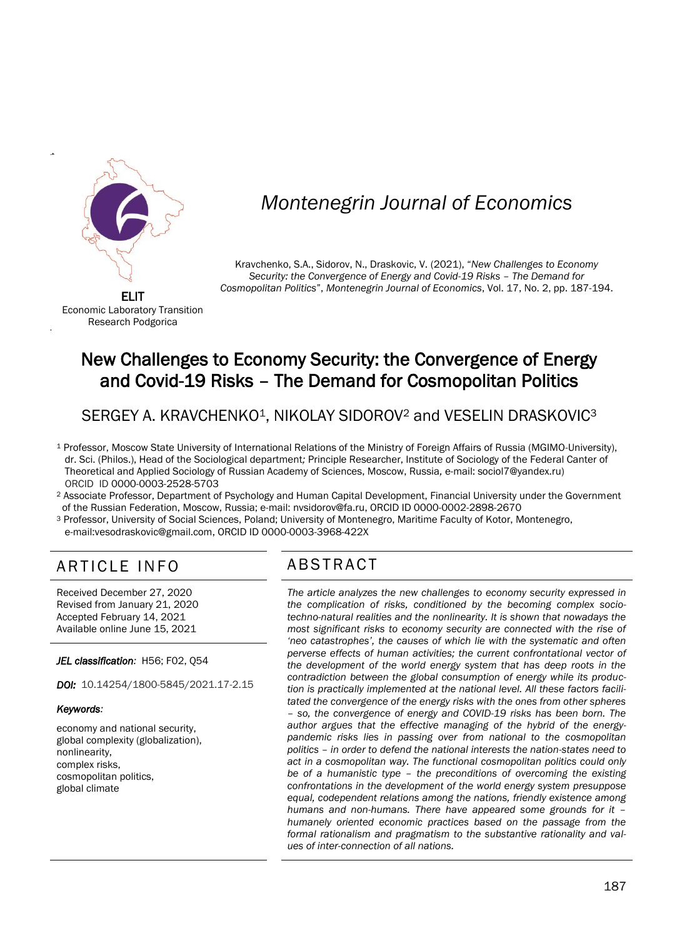

-+

'

# *Montenegrin Journal of Economics*

Kravchenko, S.A., Sidorov, N., Draskovic, V. (2021), "*New Challenges to Economy Security: the Convergence of Energy and Covid-19 Risks – The Demand for Cosmopolitan Politics*", *Montenegrin Journal of Economics*, Vol. 17, No. 2, pp. 187-194.

Economic Laboratory Transition Research Podgorica

## New Challenges to Economy Security: the Convergence of Energy and Covid-19 Risks – The Demand for Cosmopolitan Politics

SERGEY A. KRAVCHENKO<sup>1</sup>, NIKOLAY SIDOROV<sup>2</sup> and VESELIN DRASKOVIC<sup>3</sup>

<sup>1</sup> Professor, Moscow State University of International Relations of the Ministry of Foreign Affairs of Russia (MGIMO-University), dr. Sci. (Philos.), Head of the Sociological department*;* Principle Researcher, Institute of Sociology of the Federal Canter of Theoretical and Applied Sociology of Russian Academy of Sciences, Moscow, Russia*,* e-mail: sociol7@yandex.ru) ORCID ID 0000-0003-2528-5703

<sup>2</sup> Associate Professor, Department of Psychology and Human Capital Development, Financial University under the Government of the Russian Federation, Moscow, Russia; e-mail: nvsidorov@fa.ru, ORCID ID 0000-0002-2898-2670

<sup>3</sup> Professor, University of Social Sciences, Poland; University of Montenegro, Maritime Faculty of Kotor, Montenegro, e-mail:vesodraskovic@gmail.com, ORCID ID 0000-0003-3968-422X

## ARTICLE INFO ABSTRACT

Received December 27, 2020 Revised from January 21, 2020 Accepted February 14, 2021 Available online June 15, 2021

*JEL classification:* H56; F02, Q54

*DOI:* 10.14254/1800-5845/2021.17-2.15

#### *Keywords:*

economy and national security, global complexity (globalization), nonlinearity, complex risks, cosmopolitan politics, global climate

 *The article analyzes the new challenges to economy security expressed in the complication of risks, conditioned by the becoming complex sociotechno-natural realities and the nonlinearity. It is shown that nowadays the most significant risks to economy security are connected with the rise of 'neo catastrophes', the causes of which lie with the systematic and often perverse effects of human activities; the current confrontational vector of the development of the world energy system that has deep roots in the contradiction between the global consumption of energy while its production is practically implemented at the national level. All these factors facilitated the convergence of the energy risks with the ones from other spheres – so, the convergence of energy and COVID-19 risks has been born. The author argues that the effective managing of the hybrid of the energypandemic risks lies in passing over from national to the cosmopolitan politics – in order to defend the national interests the nation-states need to act in a cosmopolitan way. The functional cosmopolitan politics could only be of a humanistic type – the preconditions of overcoming the existing confrontations in the development of the world energy system presuppose equal, codependent relations among the nations, friendly existence among humans and non-humans. There have appeared some grounds for it – humanely oriented economic practices based on the passage from the formal rationalism and pragmatism to the substantive rationality and values of inter-connection of all nations.*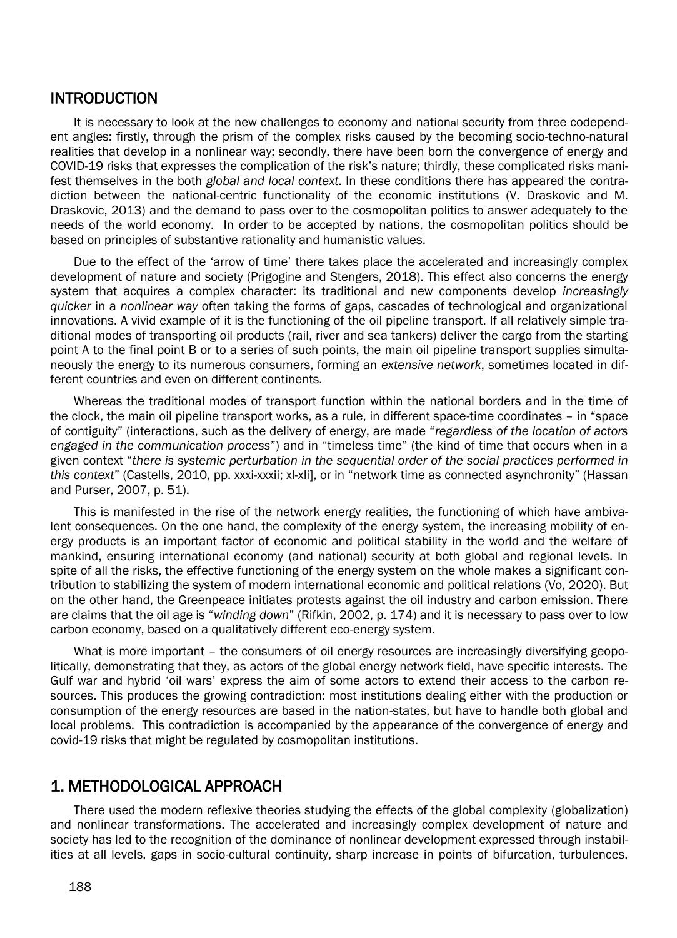#### **INTRODUCTION**

It is necessary to look at the new challenges to economy and national security from three codependent angles: firstly, through the prism of the complex risks caused by the becoming socio-techno-natural realities that develop in a nonlinear way; secondly, there have been born the convergence of energy and COVID-19 risks that expresses the complication of the risk's nature; thirdly, these complicated risks manifest themselves in the both *global and local context*. In these conditions there has appeared the contradiction between the national-centric functionality of the economic institutions (V. Draskovic and M. Draskovic, 2013) and the demand to pass over to the cosmopolitan politics to answer adequately to the needs of the world economy. In order to be accepted by nations, the cosmopolitan politics should be based on principles of substantive rationality and humanistic values.

Due to the effect of the 'arrow of time' there takes place the accelerated and increasingly complex development of nature and society (Prigogine and Stengers, 2018). This effect also concerns the energy system that acquires a complex character: its traditional and new components develop *increasingly quicker* in a *nonlinear way* often taking the forms of gaps, cascades of technological and organizational innovations. A vivid example of it is the functioning of the oil pipeline transport. If all relatively simple traditional modes of transporting oil products (rail, river and sea tankers) deliver the cargo from the starting point A to the final point B or to a series of such points, the main oil pipeline transport supplies simultaneously the energy to its numerous consumers, forming an *extensive network*, sometimes located in different countries and even on different continents.

Whereas the traditional modes of transport function within the national borders and in the time of the clock, the main oil pipeline transport works, as a rule, in different space-time coordinates – in "space of contiguity" (interactions, such as the delivery of energy, are made "*regardless of the location of actors engaged in the communication process*") and in "timeless time" (the kind of time that occurs when in a given context "*there is systemic perturbation in the sequential order of the social practices performed in this context*" (Castells, 2010, pp. xxxi-xxxii; xl-xli], or in "network time as connected asynchronity" (Hassan and Purser, 2007, p. 51).

This is manifested in the rise of the network energy realities*,* the functioning of which have ambivalent consequences. On the one hand, the complexity of the energy system, the increasing mobility of energy products is an important factor of economic and political stability in the world and the welfare of mankind, ensuring international economy (and national) security at both global and regional levels. In spite of all the risks, the effective functioning of the energy system on the whole makes a significant contribution to stabilizing the system of modern international economic and political relations (Vo, 2020). But on the other hand, the Greenpeace initiates protests against the oil industry and carbon emission. There are claims that the oil age is "*winding down*" (Rifkin, 2002, p. 174) and it is necessary to pass over to low carbon economy, based on a qualitatively different eco-energy system.

What is more important - the consumers of oil energy resources are increasingly diversifying geopolitically, demonstrating that they, as actors of the global energy network field, have specific interests. The Gulf war and hybrid 'oil wars' express the aim of some actors to extend their access to the carbon resources. This produces the growing contradiction: most institutions dealing either with the production or consumption of the energy resources are based in the nation-states, but have to handle both global and local problems. This contradiction is accompanied by the appearance of the convergence of energy and covid-19 risks that might be regulated by cosmopolitan institutions.

#### 1. METHODOLOGICAL APPROACH

There used the modern reflexive theories studying the effects of the global complexity (globalization) and nonlinear transformations. The accelerated and increasingly complex development of nature and society has led to the recognition of the dominance of nonlinear development expressed through instabilities at all levels, gaps in socio-cultural continuity, sharp increase in points of bifurcation, turbulences,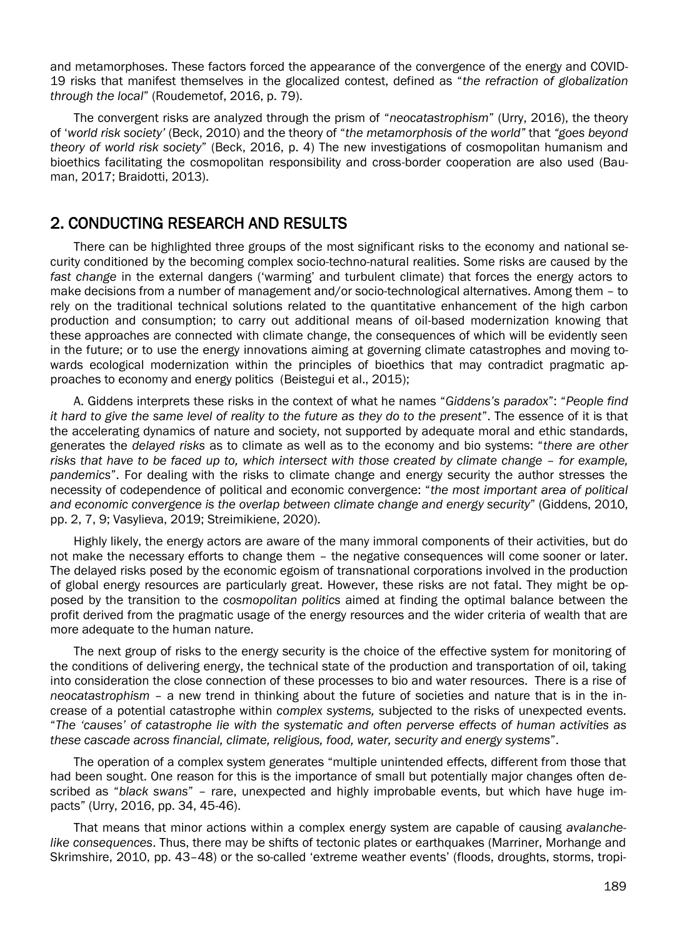and metamorphoses. These factors forced the appearance of the convergence of the energy and COVID-19 risks that manifest themselves in the glocalized contest, defined as "*the refraction of globalization through the local*" (Roudemetof, 2016, p. 79).

The convergent risks are analyzed through the prism of "*neocatastrophism*" (Urry, 2016), the theory of '*world risk society'* (Beck, 2010) and the theory of "*the metamorphosis of the world"* that *"goes beyond theory of world risk society*" (Beck, 2016, p. 4) The new investigations of cosmopolitan humanism and bioethics facilitating the cosmopolitan responsibility and cross-border cooperation are also used (Bauman, 2017; Braidotti, 2013).

### 2. CONDUCTING RESEARCH AND RESULTS

There can be highlighted three groups of the most significant risks to the economy and national security conditioned by the becoming complex socio-techno-natural realities. Some risks are caused by the *fast change* in the external dangers ('warming' and turbulent climate) that forces the energy actors to make decisions from a number of management and/or socio-technological alternatives. Among them – to rely on the traditional technical solutions related to the quantitative enhancement of the high carbon production and consumption; to carry out additional means of oil-based modernization knowing that these approaches are connected with climate change, the consequences of which will be evidently seen in the future; or to use the energy innovations aiming at governing climate catastrophes and moving towards ecological modernization within the principles of bioethics that may contradict pragmatic approaches to economy and energy politics (Beistegui et al., 2015);

A. Giddens interprets these risks in the context of what he names "*Giddens's paradox*": "*People find it hard to give the same level of reality to the future as they do to the present*". The essence of it is that the accelerating dynamics of nature and society, not supported by adequate moral and ethic standards, generates the *delayed risks* as to climate as well as to the economy and bio systems: "*there are other risks that have to be faced up to, which intersect with those created by climate change – for example, pandemics*". For dealing with the risks to climate change and energy security the author stresses the necessity of codependence of political and economic convergence: "*the most important area of political and economic convergence is the overlap between climate change and energy security*" (Giddens, 2010, pp. 2, 7, 9; Vasylieva, 2019;Streimikiene, 2020).

Highly likely, the energy actors are aware of the many immoral components of their activities, but do not make the necessary efforts to change them – the negative consequences will come sooner or later. The delayed risks posed by the economic egoism of transnational corporations involved in the production of global energy resources are particularly great. However, these risks are not fatal. They might be opposed by the transition to the *cosmopolitan politics* aimed at finding the optimal balance between the profit derived from the pragmatic usage of the energy resources and the wider criteria of wealth that are more adequate to the human nature.

The next group of risks to the energy security is the choice of the effective system for monitoring of the conditions of delivering energy, the technical state of the production and transportation of oil, taking into consideration the close connection of these processes to bio and water resources. There is a rise of *neocatastrophism* – a new trend in thinking about the future of societies and nature that is in the increase of a potential catastrophe within *complex systems,* subjected to the risks of unexpected events. "*The 'causes' of catastrophe lie with the systematic and often perverse effects of human activities as these cascade across financial, climate, religious, food, water, security and energy systems*".

The operation of a complex system generates "multiple unintended effects, different from those that had been sought. One reason for this is the importance of small but potentially major changes often described as "*black swans*" – rare, unexpected and highly improbable events, but which have huge impacts" (Urry, 2016, pp. 34, 45-46).

That means that minor actions within a complex energy system are capable of causing *avalanchelike consequences*. Thus, there may be shifts of tectonic plates or earthquakes (Marriner, Morhange and Skrimshire, 2010, pp. 43–48) or the so-called 'extreme weather events' (floods, droughts, storms, tropi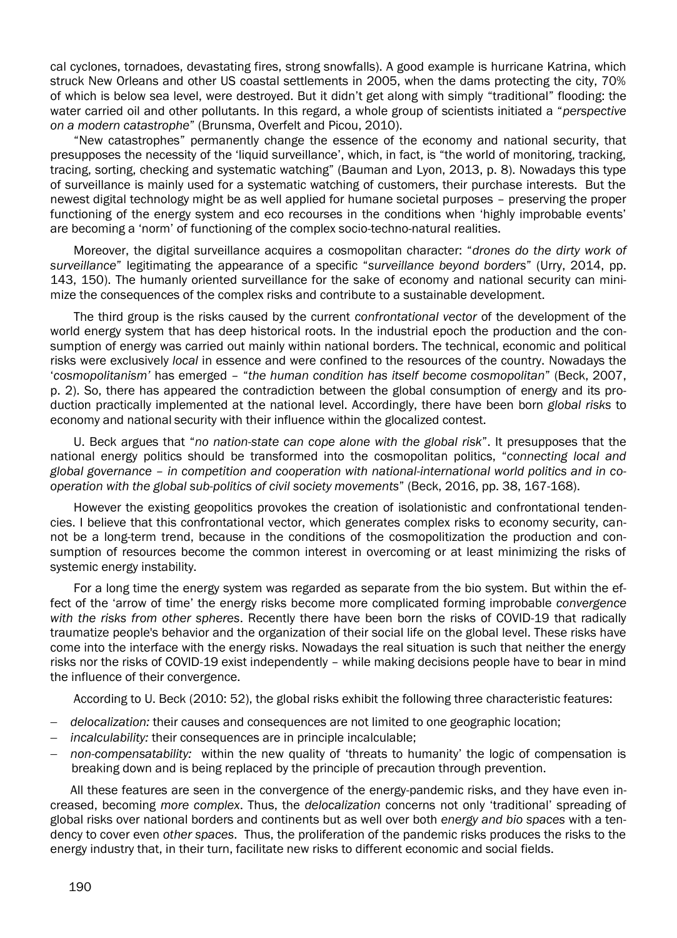cal cyclones, tornadoes, devastating fires, strong snowfalls). A good example is hurricane Katrina, which struck New Orleans and other US coastal settlements in 2005, when the dams protecting the city, 70% of which is below sea level, were destroyed. But it didn't get along with simply "traditional" flooding: the water carried oil and other pollutants. In this regard, a whole group of scientists initiated a "*perspective on a modern catastrophe*" (Brunsma, Overfelt and Picou, 2010).

"New catastrophes" permanently change the essence of the economy and national security, that presupposes the necessity of the 'liquid surveillance', which, in fact, is "the world of monitoring, tracking, tracing, sorting, checking and systematic watching" (Bauman and Lyon, 2013, p. 8). Nowadays this type of surveillance is mainly used for a systematic watching of customers, their purchase interests. But the newest digital technology might be as well applied for humane societal purposes – preserving the proper functioning of the energy system and eco recourses in the conditions when 'highly improbable events' are becoming a 'norm' of functioning of the complex socio-techno-natural realities.

Moreover, the digital surveillance acquires a cosmopolitan character: "*drones do the dirty work of surveillance*" legitimating the appearance of a specific "*surveillance beyond borders*" (Urry, 2014, pp. 143, 150). The humanly oriented surveillance for the sake of economy and national security can minimize the consequences of the complex risks and contribute to a sustainable development.

The third group is the risks caused by the current *confrontational vector* of the development of the world energy system that has deep historical roots. In the industrial epoch the production and the consumption of energy was carried out mainly within national borders. The technical, economic and political risks were exclusively *local* in essence and were confined to the resources of the country. Nowadays the '*cosmopolitanism'* has emerged – "*the human condition has itself become cosmopolitan*" (Beck, 2007, p. 2). So, there has appeared the contradiction between the global consumption of energy and its production practically implemented at the national level. Accordingly, there have been born *global risks* to economy and national security with their influence within the glocalized contest.

U. Beck argues that "*no nation-state can cope alone with the global risk*". It presupposes that the national energy politics should be transformed into the cosmopolitan politics, "*connecting local and global governance – in competition and cooperation with national-international world politics and in cooperation with the global sub-politics of civil society movements*" (Beck, 2016, pp. 38, 167-168).

However the existing geopolitics provokes the creation of isolationistic and confrontational tendencies. I believe that this confrontational vector, which generates complex risks to economy security, cannot be a long-term trend, because in the conditions of the cosmopolitization the production and consumption of resources become the common interest in overcoming or at least minimizing the risks of systemic energy instability.

For a long time the energy system was regarded as separate from the bio system. But within the effect of the 'arrow of time' the energy risks become more complicated forming improbable *convergence with the risks from other spheres*. Recently there have been born the risks of COVID-19 that radically traumatize people's behavior and the organization of their social life on the global level. These risks have come into the interface with the energy risks. Nowadays the real situation is such that neither the energy risks nor the risks of COVID-19 exist independently – while making decisions people have to bear in mind the influence of their convergence.

According to U. Beck (2010: 52), the global risks exhibit the following three characteristic features:

- *delocalization:* their causes and consequences are not limited to one geographic location;
- *incalculability:* their consequences are in principle incalculable;
- *non-compensatability:* within the new quality of 'threats to humanity' the logic of compensation is breaking down and is being replaced by the principle of precaution through prevention.

All these features are seen in the convergence of the energy-pandemic risks, and they have even increased, becoming *more complex*. Thus, the *delocalization* concerns not only 'traditional' spreading of global risks over national borders and continents but as well over both *energy and bio spaces* with a tendency to cover even *other spaces*. Thus, the proliferation of the pandemic risks produces the risks to the energy industry that, in their turn, facilitate new risks to different economic and social fields.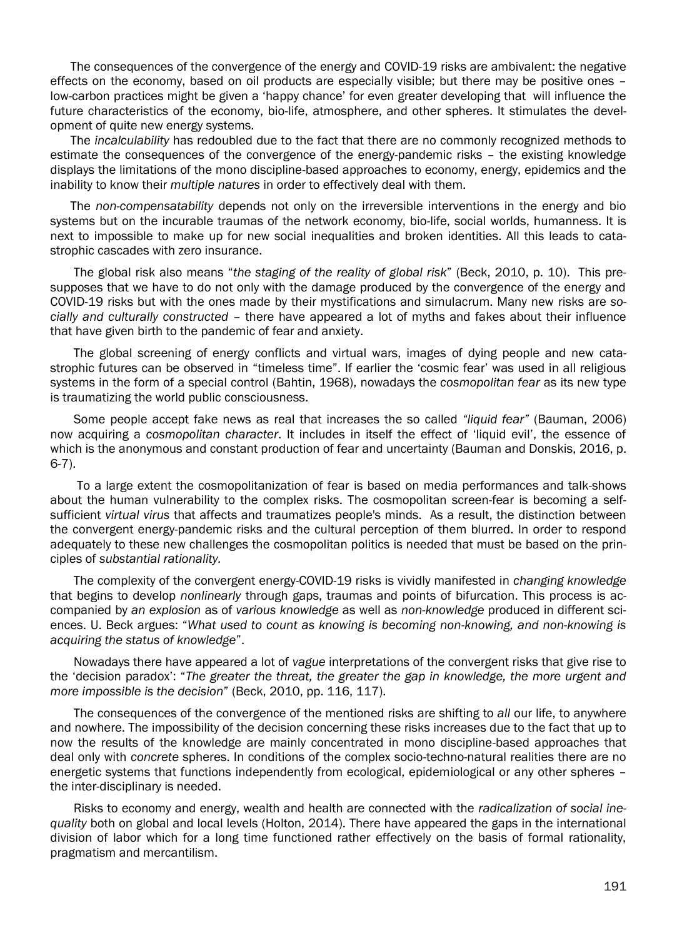The consequences of the convergence of the energy and COVID-19 risks are ambivalent: the negative effects on the economy, based on oil products are especially visible; but there may be positive ones – low-carbon practices might be given a 'happy chance' for even greater developing that will influence the future characteristics of the economy, bio-life, atmosphere, and other spheres. It stimulates the development of quite new energy systems.

The *incalculability* has redoubled due to the fact that there are no commonly recognized methods to estimate the consequences of the convergence of the energy-pandemic risks – the existing knowledge displays the limitations of the mono discipline-based approaches to economy, energy, epidemics and the inability to know their *multiple natures* in order to effectively deal with them.

The *non-compensatability* depends not only on the irreversible interventions in the energy and bio systems but on the incurable traumas of the network economy, bio-life, social worlds, humanness. It is next to impossible to make up for new social inequalities and broken identities. All this leads to catastrophic cascades with zero insurance.

The global risk also means "*the staging of the reality of global risk*" (Beck, 2010, p. 10). This presupposes that we have to do not only with the damage produced by the convergence of the energy and COVID-19 risks but with the ones made by their mystifications and simulacrum. Many new risks are *socially and culturally constructed* – there have appeared a lot of myths and fakes about their influence that have given birth to the pandemic of fear and anxiety.

The global screening of energy conflicts and virtual wars, images of dying people and new catastrophic futures can be observed in "timeless time". If earlier the 'cosmic fear' was used in all religious systems in the form of a special control (Bahtin, 1968), nowadays the *cosmopolitan fear* as its new type is traumatizing the world public consciousness.

Some people accept fake news as real that increases the so called *"liquid fear"* (Bauman, 2006) now acquiring a *cosmopolitan character*. It includes in itself the effect of 'liquid evil', the essence of which is the anonymous and constant production of fear and uncertainty (Bauman and Donskis, 2016, p. 6-7).

To a large extent the cosmopolitanization of fear is based on media performances and talk-shows about the human vulnerability to the complex risks. The cosmopolitan screen-fear is becoming a selfsufficient *virtual virus* that affects and traumatizes people's minds. As a result, the distinction between the convergent energy-pandemic risks and the cultural perception of them blurred. In order to respond adequately to these new challenges the cosmopolitan politics is needed that must be based on the principles of *substantial rationality.*

The complexity of the convergent energy-COVID-19 risks is vividly manifested in *changing knowledge* that begins to develop *nonlinearly* through gaps, traumas and points of bifurcation. This process is accompanied by *an explosion* as of *various knowledge* as well as *non-knowledge* produced in different sciences. U. Beck argues: "*What used to count as knowing is becoming non-knowing, and non-knowing is acquiring the status of knowledge*".

Nowadays there have appeared a lot of *vague* interpretations of the convergent risks that give rise to the 'decision paradox': "*The greater the threat, the greater the gap in knowledge, the more urgent and more impossible is the decision*" (Beck, 2010, pp. 116, 117).

The consequences of the convergence of the mentioned risks are shifting to *all* our life, to anywhere and nowhere. The impossibility of the decision concerning these risks increases due to the fact that up to now the results of the knowledge are mainly concentrated in mono discipline-based approaches that deal only with *concrete* spheres. In conditions of the complex socio-techno-natural realities there are no energetic systems that functions independently from ecological, epidemiological or any other spheres – the inter-disciplinary is needed.

Risks to economy and energy, wealth and health are connected with the *radicalization of social inequality* both on global and local levels (Holton, 2014). There have appeared the gaps in the international division of labor which for a long time functioned rather effectively on the basis of formal rationality, pragmatism and mercantilism.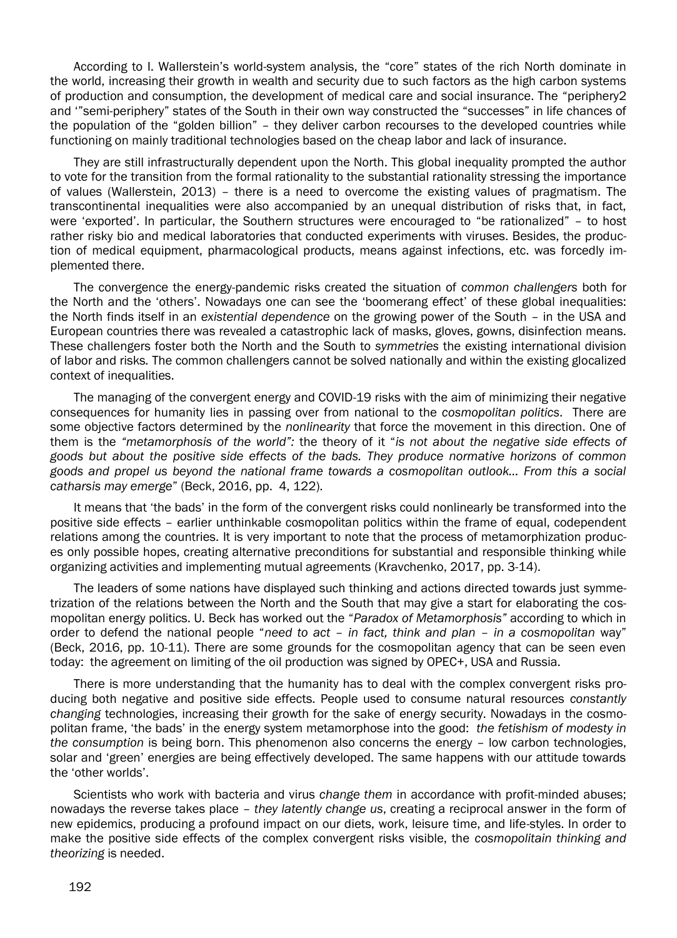According to I. Wallerstein's world-system analysis, the "core" states of the rich North dominate in the world, increasing their growth in wealth and security due to such factors as the high carbon systems of production and consumption, the development of medical care and social insurance. The "periphery2 and '"semi-periphery" states of the South in their own way constructed the "successes" in life chances of the population of the "golden billion" – they deliver carbon recourses to the developed countries while functioning on mainly traditional technologies based on the cheap labor and lack of insurance.

They are still infrastructurally dependent upon the North. This global inequality prompted the author to vote for the transition from the formal rationality to the substantial rationality stressing the importance of values (Wallerstein, 2013) – there is a need to overcome the existing values of pragmatism. The transcontinental inequalities were also accompanied by an unequal distribution of risks that, in fact, were 'exported'. In particular, the Southern structures were encouraged to "be rationalized" – to host rather risky bio and medical laboratories that conducted experiments with viruses. Besides, the production of medical equipment, pharmacological products, means against infections, etc. was forcedly implemented there.

The convergence the energy-pandemic risks created the situation of *common challengers* both for the North and the 'others'. Nowadays one can see the 'boomerang effect' of these global inequalities: the North finds itself in an *existential dependence* on the growing power of the South – in the USA and European countries there was revealed a catastrophic lack of masks, gloves, gowns, disinfection means. These challengers foster both the North and the South to *symmetries* the existing international division of labor and risks*.* The common challengers cannot be solved nationally and within the existing glocalized context of inequalities.

The managing of the convergent energy and COVID-19 risks with the aim of minimizing their negative consequences for humanity lies in passing over from national to the *cosmopolitan politics*. There are some objective factors determined by the *nonlinearity* that force the movement in this direction. One of them is the *"metamorphosis of the world":* the theory of it "*is not about the negative side effects of goods but about the positive side effects of the bads. They produce normative horizons of common goods and propel us beyond the national frame towards a cosmopolitan outlook… From this a social catharsis may emerge*" (Beck, 2016, pp. 4, 122).

It means that 'the bads' in the form of the convergent risks could nonlinearly be transformed into the positive side effects – earlier unthinkable cosmopolitan politics within the frame of equal, codependent relations among the countries. It is very important to note that the process of metamorphization produces only possible hopes, creating alternative preconditions for substantial and responsible thinking while organizing activities and implementing mutual agreements (Kravchenko, 2017, pp. 3-14).

The leaders of some nations have displayed such thinking and actions directed towards just symmetrization of the relations between the North and the South that may give a start for elaborating the cosmopolitan energy politics. U. Beck has worked out the "*Paradox of Metamorphosis"* according to which in order to defend the national people "*need to act – in fact, think and plan – in a cosmopolitan* way" (Beck, 2016, pp. 10-11). There are some grounds for the cosmopolitan agency that can be seen even today: the agreement on limiting of the oil production was signed by OPEC+, USA and Russia.

There is more understanding that the humanity has to deal with the complex convergent risks producing both negative and positive side effects. People used to consume natural resources *constantly changing* technologies, increasing their growth for the sake of energy security. Nowadays in the cosmopolitan frame, 'the bads' in the energy system metamorphose into the good: *the fetishism of modesty in the consumption* is being born. This phenomenon also concerns the energy – low carbon technologies, solar and 'green' energies are being effectively developed. The same happens with our attitude towards the 'other worlds'.

Scientists who work with bacteria and virus *change them* in accordance with profit-minded abuses; nowadays the reverse takes place – *they latently change us*, creating a reciprocal answer in the form of new epidemics, producing a profound impact on our diets, work, leisure time, and life-styles. In order to make the positive side effects of the complex convergent risks visible, the *cosmopolitain thinking and theorizing* is needed.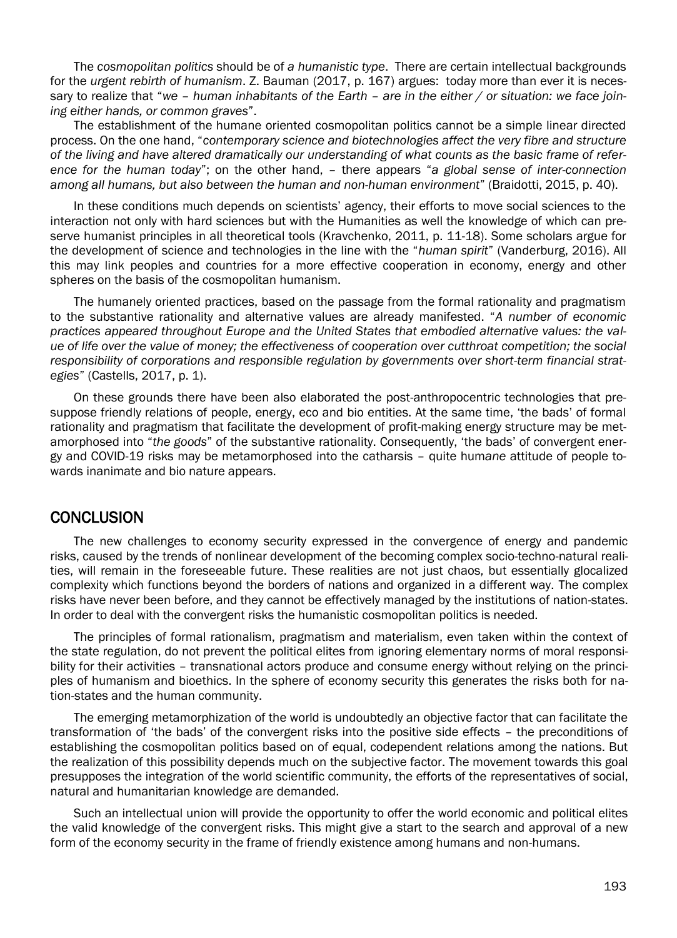The *cosmopolitan politics* should be of *a humanistic type*. There are certain intellectual backgrounds for the *urgent rebirth of humanism*. Z. Bauman (2017, p. 167) argues: today more than ever it is necessary to realize that "*we – human inhabitants of the Earth – are in the either / or situation: we face joining either hands, or common graves*".

The establishment of the humane oriented cosmopolitan politics cannot be a simple linear directed process. On the one hand, "*contemporary science and biotechnologies affect the very fibre and structure of the living and have altered dramatically our understanding of what counts as the basic frame of reference for the human today*"; on the other hand, – there appears "*a global sense of inter-connection among all humans, but also between the human and non-human environment*" (Braidotti, 2015, p. 40).

In these conditions much depends on scientists' agency, their efforts to move social sciences to the interaction not only with hard sciences but with the Humanities as well the knowledge of which can preserve humanist principles in all theoretical tools (Kravchenko, 2011, p. 11-18). Some scholars argue for the development of science and technologies in the line with the "*human spirit*" (Vanderburg, 2016). All this may link peoples and countries for a more effective cooperation in economy, energy and other spheres on the basis of the cosmopolitan humanism.

The humanely oriented practices, based on the passage from the formal rationality and pragmatism to the substantive rationality and alternative values are already manifested. "*A number of economic practices appeared throughout Europe and the United States that embodied alternative values: the value of life over the value of money; the effectiveness of cooperation over cutthroat competition; the social responsibility of corporations and responsible regulation by governments over short-term financial strategies*" (Castells, 2017, p. 1).

On these grounds there have been also elaborated the post-anthropocentric technologies that presuppose friendly relations of people, energy, eco and bio entities. At the same time, 'the bads' of formal rationality and pragmatism that facilitate the development of profit-making energy structure may be metamorphosed into "*the goods*" of the substantive rationality. Consequently, 'the bads' of convergent energy and COVID-19 risks may be metamorphosed into the catharsis – quite hum*ane* attitude of people towards inanimate and bio nature appears.

#### **CONCLUSION**

The new challenges to economy security expressed in the convergence of energy and pandemic risks, caused by the trends of nonlinear development of the becoming complex socio-techno-natural realities, will remain in the foreseeable future. These realities are not just chaos, but essentially glocalized complexity which functions beyond the borders of nations and organized in a different way. The complex risks have never been before, and they cannot be effectively managed by the institutions of nation-states. In order to deal with the convergent risks the humanistic cosmopolitan politics is needed.

The principles of formal rationalism, pragmatism and materialism, even taken within the context of the state regulation, do not prevent the political elites from ignoring elementary norms of moral responsibility for their activities – transnational actors produce and consume energy without relying on the principles of humanism and bioethics. In the sphere of economy security this generates the risks both for nation-states and the human community.

The emerging metamorphization of the world is undoubtedly an objective factor that can facilitate the transformation of 'the bads' of the convergent risks into the positive side effects – the preconditions of establishing the cosmopolitan politics based on of equal, codependent relations among the nations. But the realization of this possibility depends much on the subjective factor. The movement towards this goal presupposes the integration of the world scientific community, the efforts of the representatives of social, natural and humanitarian knowledge are demanded.

Such an intellectual union will provide the opportunity to offer the world economic and political elites the valid knowledge of the convergent risks. This might give a start to the search and approval of a new form of the economy security in the frame of friendly existence among humans and non-humans.